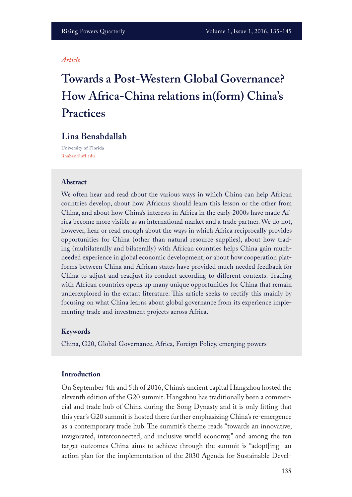#### *Article*

# **Towards a Post-Western Global Governance? How Africa-China relations in(form) China's Practices**

# **Lina Benabdallah**

University of Florida **linaben@ufl.edu**

#### **Abstract**

We often hear and read about the various ways in which China can help African countries develop, about how Africans should learn this lesson or the other from China, and about how China's interests in Africa in the early 2000s have made Africa become more visible as an international market and a trade partner. We do not, however, hear or read enough about the ways in which Africa reciprocally provides opportunities for China (other than natural resource supplies), about how trading (multilaterally and bilaterally) with African countries helps China gain muchneeded experience in global economic development, or about how cooperation platforms between China and African states have provided much needed feedback for China to adjust and readjust its conduct according to diferent contexts. Trading with African countries opens up many unique opportunities for China that remain underexplored in the extant literature. This article seeks to rectify this mainly by focusing on what China learns about global governance from its experience implementing trade and investment projects across Africa.

#### **Keywords**

China, G20, Global Governance, Africa, Foreign Policy, emerging powers

# **Introduction**

On September 4th and 5th of 2016, China's ancient capital Hangzhou hosted the eleventh edition of the G20 summit. Hangzhou has traditionally been a commercial and trade hub of China during the Song Dynasty and it is only ftting that this year's G20 summit is hosted there further emphasizing China's re-emergence as a contemporary trade hub. The summit's theme reads "towards an innovative, invigorated, interconnected, and inclusive world economy," and among the ten target-outcomes China aims to achieve through the summit is "adopt[ing] an action plan for the implementation of the 2030 Agenda for Sustainable Devel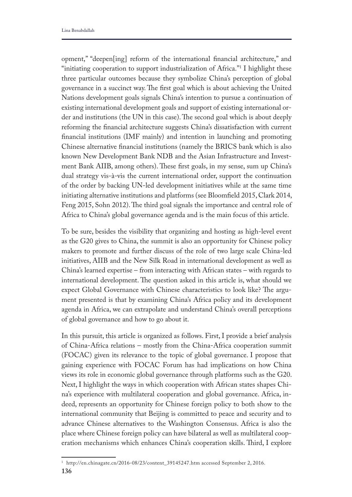opment," "deepen[ing] reform of the international fnancial architecture," and "initiating cooperation to support industrialization of Africa."1 I highlight these three particular outcomes because they symbolize China's perception of global governance in a succinct way. The first goal which is about achieving the United Nations development goals signals China's intention to pursue a continuation of existing international development goals and support of existing international order and institutions (the UN in this case). The second goal which is about deeply reforming the fnancial architecture suggests China's dissatisfaction with current fnancial institutions (IMF mainly) and intention in launching and promoting Chinese alternative fnancial institutions (namely the BRICS bank which is also known New Development Bank NDB and the Asian Infrastructure and Investment Bank AIIB, among others). These first goals, in my sense, sum up China's dual strategy vis-à-vis the current international order, support the continuation of the order by backing UN-led development initiatives while at the same time initiating alternative institutions and platforms (see Bloomfeld 2015, Clark 2014, Feng 2015, Sohn 2012). The third goal signals the importance and central role of Africa to China's global governance agenda and is the main focus of this article.

To be sure, besides the visibility that organizing and hosting as high-level event as the G20 gives to China, the summit is also an opportunity for Chinese policy makers to promote and further discuss of the role of two large scale China-led initiatives, AIIB and the New Silk Road in international development as well as China's learned expertise – from interacting with African states – with regards to international development. The question asked in this article is, what should we expect Global Governance with Chinese characteristics to look like? The argument presented is that by examining China's Africa policy and its development agenda in Africa, we can extrapolate and understand China's overall perceptions of global governance and how to go about it.

In this pursuit, this article is organized as follows. First, I provide a brief analysis of China-Africa relations – mostly from the China-Africa cooperation summit (FOCAC) given its relevance to the topic of global governance. I propose that gaining experience with FOCAC Forum has had implications on how China views its role in economic global governance through platforms such as the G20. Next, I highlight the ways in which cooperation with African states shapes China's experience with multilateral cooperation and global governance. Africa, indeed, represents an opportunity for Chinese foreign policy to both show to the international community that Beijing is committed to peace and security and to advance Chinese alternatives to the Washington Consensus. Africa is also the place where Chinese foreign policy can have bilateral as well as multilateral cooperation mechanisms which enhances China's cooperation skills. Third, I explore

**<sup>136</sup>** <sup>1</sup> http://en.chinagate.cn/2016-08/23/content\_39145247.htm accessed September 2, 2016.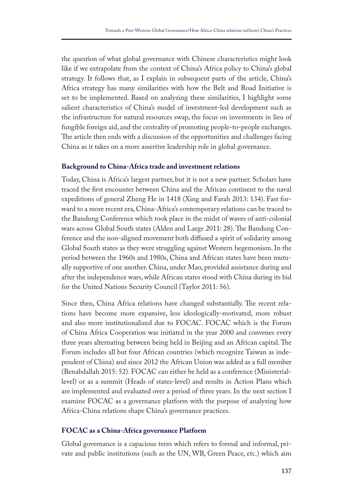the question of what global governance with Chinese characteristics might look like if we extrapolate from the context of China's Africa policy to China's global strategy. It follows that, as I explain in subsequent parts of the article, China's Africa strategy has many similarities with how the Belt and Road Initiative is set to be implemented. Based on analyzing these similarities, I highlight some salient characteristics of China's model of investment-led development such as the infrastructure for natural resources swap, the focus on investments in lieu of fungible foreign aid, and the centrality of promoting people-to-people exchanges. The article then ends with a discussion of the opportunities and challenges facing China as it takes on a more assertive leadership role in global governance.

# **Background to China-Africa trade and investment relations**

Today, China is Africa's largest partner, but it is not a new partner. Scholars have traced the frst encounter between China and the African continent to the naval expeditions of general Zheng He in 1418 (Xing and Farah 2013: 134). Fast forward to a more recent era, China-Africa's contemporary relations can be traced to the Bandung Conference which took place in the midst of waves of anti-colonial wars across Global South states (Alden and Large 2011: 28). The Bandung Conference and the non-aligned movement both difused a spirit of solidarity among Global South states as they were struggling against Western hegemonism. In the period between the 1960s and 1980s, China and African states have been mutually supportive of one another. China, under Mao, provided assistance during and after the independence wars, while African states stood with China during its bid for the United Nations Security Council (Taylor 2011: 56).

Since then, China Africa relations have changed substantially. The recent relations have become more expansive, less ideologically-motivated, more robust and also more institutionalized due to FOCAC. FOCAC which is the Forum of China Africa Cooperation was initiated in the year 2000 and convenes every three years alternating between being held in Beijing and an African capital. The Forum includes all but four African countries (which recognize Taiwan as independent of China) and since 2012 the African Union was added as a full member (Benabdallah 2015: 52). FOCAC can either be held as a conference (Ministeriallevel) or as a summit (Heads of states-level) and results in Action Plans which are implemented and evaluated over a period of three years. In the next section I examine FOCAC as a governance platform with the purpose of analyzing how Africa-China relations shape China's governance practices.

# **FOCAC as a China-Africa governance Platform**

Global governance is a capacious term which refers to formal and informal, private and public institutions (such as the UN, WB, Green Peace, etc.) which aim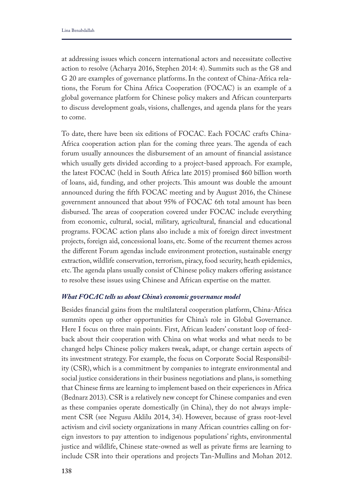at addressing issues which concern international actors and necessitate collective action to resolve (Acharya 2016, Stephen 2014: 4). Summits such as the G8 and G 20 are examples of governance platforms. In the context of China-Africa relations, the Forum for China Africa Cooperation (FOCAC) is an example of a global governance platform for Chinese policy makers and African counterparts to discuss development goals, visions, challenges, and agenda plans for the years to come.

To date, there have been six editions of FOCAC. Each FOCAC crafts China-Africa cooperation action plan for the coming three years. The agenda of each forum usually announces the disbursement of an amount of fnancial assistance which usually gets divided according to a project-based approach. For example, the latest FOCAC (held in South Africa late 2015) promised \$60 billion worth of loans, aid, funding, and other projects. This amount was double the amount announced during the ffth FOCAC meeting and by August 2016, the Chinese government announced that about 95% of FOCAC 6th total amount has been disbursed. The areas of cooperation covered under FOCAC include everything from economic, cultural, social, military, agricultural, fnancial and educational programs. FOCAC action plans also include a mix of foreign direct investment projects, foreign aid, concessional loans, etc. Some of the recurrent themes across the diferent Forum agendas include environment protection, sustainable energy extraction, wildlife conservation, terrorism, piracy, food security, heath epidemics, etc. The agenda plans usually consist of Chinese policy makers offering assistance to resolve these issues using Chinese and African expertise on the matter.

### *What FOCAC tells us about China's economic governance model*

Besides fnancial gains from the multilateral cooperation platform, China-Africa summits open up other opportunities for China's role in Global Governance. Here I focus on three main points. First, African leaders' constant loop of feedback about their cooperation with China on what works and what needs to be changed helps Chinese policy makers tweak, adapt, or change certain aspects of its investment strategy. For example, the focus on Corporate Social Responsibility (CSR), which is a commitment by companies to integrate environmental and social justice considerations in their business negotiations and plans, is something that Chinese frms are learning to implement based on their experiences in Africa (Bednarz 2013). CSR is a relatively new concept for Chinese companies and even as these companies operate domestically (in China), they do not always implement CSR (see Negusu Aklilu 2014, 34). However, because of grass root-level activism and civil society organizations in many African countries calling on foreign investors to pay attention to indigenous populations' rights, environmental justice and wildlife, Chinese state-owned as well as private frms are learning to include CSR into their operations and projects Tan-Mullins and Mohan 2012.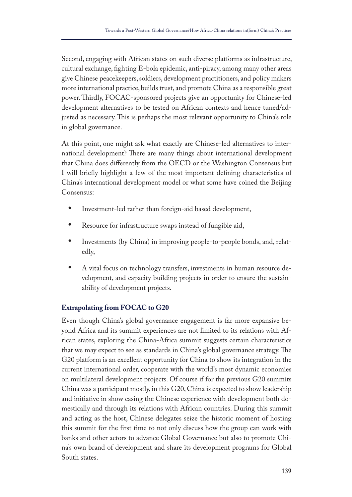Second, engaging with African states on such diverse platforms as infrastructure, cultural exchange, fghting E-bola epidemic, anti-piracy, among many other areas give Chinese peacekeepers, soldiers, development practitioners, and policy makers more international practice, builds trust, and promote China as a responsible great power. Thirdly, FOCAC-sponsored projects give an opportunity for Chinese-led development alternatives to be tested on African contexts and hence tuned/adjusted as necessary. This is perhaps the most relevant opportunity to China's role in global governance.

At this point, one might ask what exactly are Chinese-led alternatives to international development? There are many things about international development that China does diferently from the OECD or the Washington Consensus but I will briefy highlight a few of the most important defning characteristics of China's international development model or what some have coined the Beijing Consensus:

- **•** Investment-led rather than foreign-aid based development,
- **•** Resource for infrastructure swaps instead of fungible aid,
- **•** Investments (by China) in improving people-to-people bonds, and, relatedly,
- **•** A vital focus on technology transfers, investments in human resource development, and capacity building projects in order to ensure the sustainability of development projects.

# **Extrapolating from FOCAC to G20**

Even though China's global governance engagement is far more expansive beyond Africa and its summit experiences are not limited to its relations with African states, exploring the China-Africa summit suggests certain characteristics that we may expect to see as standards in China's global governance strategy. The G20 platform is an excellent opportunity for China to show its integration in the current international order, cooperate with the world's most dynamic economies on multilateral development projects. Of course if for the previous G20 summits China was a participant mostly, in this G20, China is expected to show leadership and initiative in show casing the Chinese experience with development both domestically and through its relations with African countries. During this summit and acting as the host, Chinese delegates seize the historic moment of hosting this summit for the frst time to not only discuss how the group can work with banks and other actors to advance Global Governance but also to promote China's own brand of development and share its development programs for Global South states.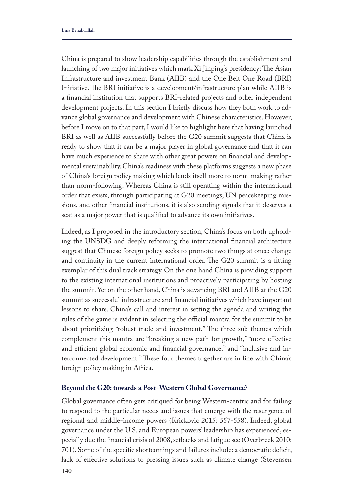China is prepared to show leadership capabilities through the establishment and launching of two major initiatives which mark Xi Jinping's presidency: The Asian Infrastructure and investment Bank (AIIB) and the One Belt One Road (BRI) Initiative. The BRI initiative is a development/infrastructure plan while AIIB is a fnancial institution that supports BRI-related projects and other independent development projects. In this section I briefy discuss how they both work to advance global governance and development with Chinese characteristics. However, before I move on to that part, I would like to highlight here that having launched BRI as well as AIIB successfully before the G20 summit suggests that China is ready to show that it can be a major player in global governance and that it can have much experience to share with other great powers on fnancial and developmental sustainability. China's readiness with these platforms suggests a new phase of China's foreign policy making which lends itself more to norm-making rather than norm-following. Whereas China is still operating within the international order that exists, through participating at G20 meetings, UN peacekeeping missions, and other fnancial institutions, it is also sending signals that it deserves a seat as a major power that is qualifed to advance its own initiatives.

Indeed, as I proposed in the introductory section, China's focus on both upholding the UNSDG and deeply reforming the international fnancial architecture suggest that Chinese foreign policy seeks to promote two things at once: change and continuity in the current international order. The G20 summit is a fitting exemplar of this dual track strategy. On the one hand China is providing support to the existing international institutions and proactively participating by hosting the summit. Yet on the other hand, China is advancing BRI and AIIB at the G20 summit as successful infrastructure and fnancial initiatives which have important lessons to share. China's call and interest in setting the agenda and writing the rules of the game is evident in selecting the official mantra for the summit to be about prioritizing "robust trade and investment." The three sub-themes which complement this mantra are "breaking a new path for growth," "more efective and efficient global economic and financial governance," and "inclusive and interconnected development." These four themes together are in line with China's foreign policy making in Africa.

# **Beyond the G20: towards a Post-Western Global Governance?**

Global governance often gets critiqued for being Western-centric and for failing to respond to the particular needs and issues that emerge with the resurgence of regional and middle-income powers (Krickovic 2015: 557-558). Indeed, global governance under the U.S. and European powers' leadership has experienced, especially due the fnancial crisis of 2008, setbacks and fatigue see (Overbreek 2010: 701). Some of the specifc shortcomings and failures include: a democratic defcit, lack of effective solutions to pressing issues such as climate change (Stevensen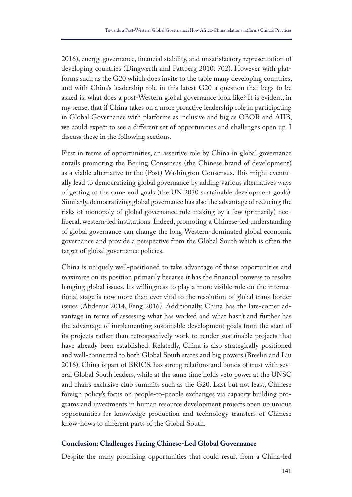2016), energy governance, fnancial stability, and unsatisfactory representation of developing countries (Dingwerth and Pattberg 2010: 702). However with platforms such as the G20 which does invite to the table many developing countries, and with China's leadership role in this latest G20 a question that begs to be asked is, what does a post-Western global governance look like? It is evident, in my sense, that if China takes on a more proactive leadership role in participating in Global Governance with platforms as inclusive and big as OBOR and AIIB, we could expect to see a diferent set of opportunities and challenges open up. I discuss these in the following sections.

First in terms of opportunities, an assertive role by China in global governance entails promoting the Beijing Consensus (the Chinese brand of development) as a viable alternative to the (Post) Washington Consensus. This might eventually lead to democratizing global governance by adding various alternatives ways of getting at the same end goals (the UN 2030 sustainable development goals). Similarly, democratizing global governance has also the advantage of reducing the risks of monopoly of global governance rule-making by a few (primarily) neoliberal, western-led institutions. Indeed, promoting a Chinese-led understanding of global governance can change the long Western-dominated global economic governance and provide a perspective from the Global South which is often the target of global governance policies.

China is uniquely well-positioned to take advantage of these opportunities and maximize on its position primarily because it has the fnancial prowess to resolve hanging global issues. Its willingness to play a more visible role on the international stage is now more than ever vital to the resolution of global trans-border issues (Abdenur 2014, Feng 2016). Additionally, China has the late-comer advantage in terms of assessing what has worked and what hasn't and further has the advantage of implementing sustainable development goals from the start of its projects rather than retrospectively work to render sustainable projects that have already been established. Relatedly, China is also strategically positioned and well-connected to both Global South states and big powers (Breslin and Liu 2016). China is part of BRICS, has strong relations and bonds of trust with several Global South leaders, while at the same time holds veto power at the UNSC and chairs exclusive club summits such as the G20. Last but not least, Chinese foreign policy's focus on people-to-people exchanges via capacity building programs and investments in human resource development projects open up unique opportunities for knowledge production and technology transfers of Chinese know-hows to diferent parts of the Global South.

# **Conclusion: Challenges Facing Chinese-Led Global Governance**

Despite the many promising opportunities that could result from a China-led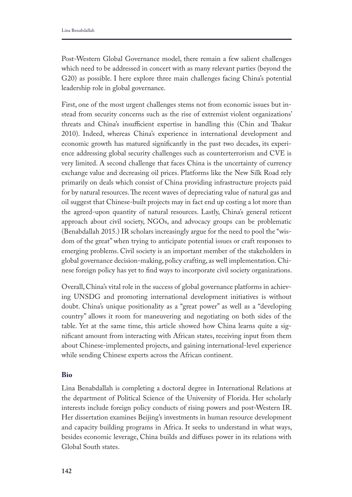Post-Western Global Governance model, there remain a few salient challenges which need to be addressed in concert with as many relevant parties (beyond the G20) as possible. I here explore three main challenges facing China's potential leadership role in global governance.

First, one of the most urgent challenges stems not from economic issues but instead from security concerns such as the rise of extremist violent organizations' threats and China's insufficient expertise in handling this (Chin and Thakur 2010). Indeed, whereas China's experience in international development and economic growth has matured signifcantly in the past two decades, its experience addressing global security challenges such as counterterrorism and CVE is very limited. A second challenge that faces China is the uncertainty of currency exchange value and decreasing oil prices. Platforms like the New Silk Road rely primarily on deals which consist of China providing infrastructure projects paid for by natural resources. The recent waves of depreciating value of natural gas and oil suggest that Chinese-built projects may in fact end up costing a lot more than the agreed-upon quantity of natural resources. Lastly, China's general reticent approach about civil society, NGOs, and advocacy groups can be problematic (Benabdallah 2015.) IR scholars increasingly argue for the need to pool the "wisdom of the great" when trying to anticipate potential issues or craft responses to emerging problems. Civil society is an important member of the stakeholders in global governance decision-making, policy crafting, as well implementation. Chinese foreign policy has yet to fnd ways to incorporate civil society organizations.

Overall, China's vital role in the success of global governance platforms in achieving UNSDG and promoting international development initiatives is without doubt. China's unique positionality as a "great power" as well as a "developing country" allows it room for maneuvering and negotiating on both sides of the table. Yet at the same time, this article showed how China learns quite a signifcant amount from interacting with African states, receiving input from them about Chinese-implemented projects, and gaining international-level experience while sending Chinese experts across the African continent.

# **Bio**

Lina Benabdallah is completing a doctoral degree in International Relations at the department of Political Science of the University of Florida. Her scholarly interests include foreign policy conducts of rising powers and post-Western IR. Her dissertation examines Beijing's investments in human resource development and capacity building programs in Africa. It seeks to understand in what ways, besides economic leverage, China builds and difuses power in its relations with Global South states.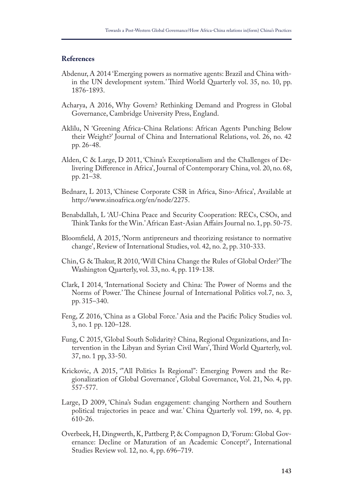## **References**

- Abdenur, A 2014 'Emerging powers as normative agents: Brazil and China within the UN development system.' Third World Quarterly vol. 35, no. 10, pp. 1876-1893.
- Acharya, A 2016, Why Govern? Rethinking Demand and Progress in Global Governance, Cambridge University Press, England.
- Aklilu, N 'Greening Africa-China Relations: African Agents Punching Below their Weight?' Journal of China and International Relations, vol. 26, no. 42 pp. 26-48.
- Alden, C & Large, D 2011, 'China's Exceptionalism and the Challenges of Delivering Diference in Africa', Journal of Contemporary China, vol. 20, no. 68, pp. 21–38.
- Bednarz, L 2013, 'Chinese Corporate CSR in Africa, Sino-Africa', Available at http://www.sinoafrica.org/en/node/2275.
- Benabdallah, L 'AU-China Peace and Security Cooperation: RECs, CSOs, and Think Tanks for the Win.' African East-Asian Affairs Journal no. 1, pp. 50-75.
- Bloomfeld, A 2015, 'Norm antipreneurs and theorizing resistance to normative change', Review of International Studies, vol. 42, no. 2, pp. 310-333.
- Chin, G & Thakur, R 2010, 'Will China Change the Rules of Global Order?' The Washington Quarterly, vol. 33, no. 4, pp. 119-138.
- Clark, I 2014, 'International Society and China: The Power of Norms and the Norms of Power.' The Chinese Journal of International Politics vol.7, no. 3, pp. 315–340.
- Feng, Z 2016, 'China as a Global Force.' Asia and the Pacifc Policy Studies vol. 3, no. 1 pp. 120–128.
- Fung, C 2015, 'Global South Solidarity? China, Regional Organizations, and Intervention in the Libyan and Syrian Civil Wars', Third World Quarterly, vol. 37, no. 1 pp, 33-50.
- Krickovic, A 2015, '"All Politics Is Regional": Emerging Powers and the Regionalization of Global Governance', Global Governance, Vol. 21, No. 4, pp. 557-577.
- Large, D 2009, 'China's Sudan engagement: changing Northern and Southern political trajectories in peace and war.' China Quarterly vol. 199, no. 4, pp. 610-26.
- Overbeek, H, Dingwerth, K, Pattberg P, & Compagnon D, 'Forum: Global Governance: Decline or Maturation of an Academic Concept?', International Studies Review vol. 12, no. 4, pp. 696–719.